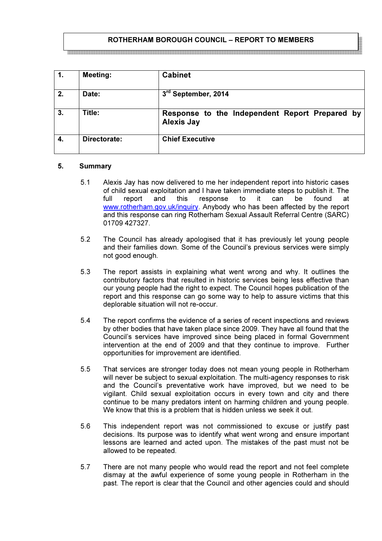# ROTHERHAM BOROUGH COUNCIL – REPORT TO MEMBERS

| 1. | <b>Meeting:</b> | <b>Cabinet</b>                                                      |
|----|-----------------|---------------------------------------------------------------------|
| 2. | Date:           | 3rd September, 2014                                                 |
| 3. | Title:          | Response to the Independent Report Prepared by<br><b>Alexis Jay</b> |
| 4. | Directorate:    | <b>Chief Executive</b>                                              |

### 5. Summary

- 5.1 Alexis Jay has now delivered to me her independent report into historic cases of child sexual exploitation and I have taken immediate steps to publish it. The full report and this response to it can be found at www.rotherham.gov.uk/inquiry. Anybody who has been affected by the report and this response can ring Rotherham Sexual Assault Referral Centre (SARC) 01709 427327.
- 5.2 The Council has already apologised that it has previously let young people and their families down. Some of the Council's previous services were simply not good enough.
- 5.3 The report assists in explaining what went wrong and why. It outlines the contributory factors that resulted in historic services being less effective than our young people had the right to expect. The Council hopes publication of the report and this response can go some way to help to assure victims that this deplorable situation will not re-occur.
- 5.4 The report confirms the evidence of a series of recent inspections and reviews by other bodies that have taken place since 2009. They have all found that the Council's services have improved since being placed in formal Government intervention at the end of 2009 and that they continue to improve. Further opportunities for improvement are identified.
- 5.5 That services are stronger today does not mean young people in Rotherham will never be subject to sexual exploitation. The multi-agency responses to risk and the Council's preventative work have improved, but we need to be vigilant. Child sexual exploitation occurs in every town and city and there continue to be many predators intent on harming children and young people. We know that this is a problem that is hidden unless we seek it out.
- 5.6 This independent report was not commissioned to excuse or justify past decisions. Its purpose was to identify what went wrong and ensure important lessons are learned and acted upon. The mistakes of the past must not be allowed to be repeated.
- 5.7 There are not many people who would read the report and not feel complete dismay at the awful experience of some young people in Rotherham in the past. The report is clear that the Council and other agencies could and should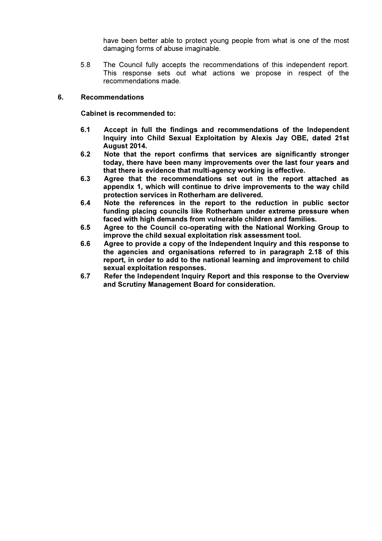have been better able to protect young people from what is one of the most damaging forms of abuse imaginable.

5.8 The Council fully accepts the recommendations of this independent report. This response sets out what actions we propose in respect of the recommendations made.

#### 6. Recommendations

Cabinet is recommended to:

- 6.1 Accept in full the findings and recommendations of the Independent Inquiry into Child Sexual Exploitation by Alexis Jay OBE, dated 21st August 2014.
- 6.2 Note that the report confirms that services are significantly stronger today, there have been many improvements over the last four years and that there is evidence that multi-agency working is effective.
- 6.3 Agree that the recommendations set out in the report attached as appendix 1, which will continue to drive improvements to the way child protection services in Rotherham are delivered.
- 6.4 Note the references in the report to the reduction in public sector funding placing councils like Rotherham under extreme pressure when faced with high demands from vulnerable children and families.
- 6.5 Agree to the Council co-operating with the National Working Group to improve the child sexual exploitation risk assessment tool.
- 6.6 Agree to provide a copy of the Independent Inquiry and this response to the agencies and organisations referred to in paragraph 2.18 of this report, in order to add to the national learning and improvement to child sexual exploitation responses.
- 6.7 Refer the Independent Inquiry Report and this response to the Overview and Scrutiny Management Board for consideration.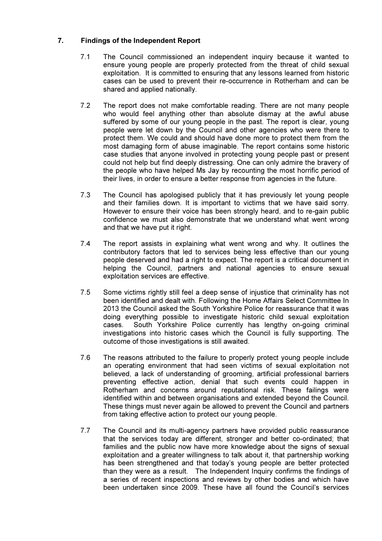# 7. Findings of the Independent Report

- 7.1 The Council commissioned an independent inquiry because it wanted to ensure young people are properly protected from the threat of child sexual exploitation. It is committed to ensuring that any lessons learned from historic cases can be used to prevent their re-occurrence in Rotherham and can be shared and applied nationally.
- 7.2 The report does not make comfortable reading. There are not many people who would feel anything other than absolute dismay at the awful abuse suffered by some of our young people in the past. The report is clear, young people were let down by the Council and other agencies who were there to protect them. We could and should have done more to protect them from the most damaging form of abuse imaginable. The report contains some historic case studies that anyone involved in protecting young people past or present could not help but find deeply distressing. One can only admire the bravery of the people who have helped Ms Jay by recounting the most horrific period of their lives, in order to ensure a better response from agencies in the future.
- 7.3 The Council has apologised publicly that it has previously let young people and their families down. It is important to victims that we have said sorry. However to ensure their voice has been strongly heard, and to re-gain public confidence we must also demonstrate that we understand what went wrong and that we have put it right.
- 7.4 The report assists in explaining what went wrong and why. It outlines the contributory factors that led to services being less effective than our young people deserved and had a right to expect. The report is a critical document in helping the Council, partners and national agencies to ensure sexual exploitation services are effective.
- 7.5 Some victims rightly still feel a deep sense of injustice that criminality has not been identified and dealt with. Following the Home Affairs Select Committee In 2013 the Council asked the South Yorkshire Police for reassurance that it was doing everything possible to investigate historic child sexual exploitation cases. South Yorkshire Police currently has lengthy on-going criminal investigations into historic cases which the Council is fully supporting. The outcome of those investigations is still awaited.
- 7.6 The reasons attributed to the failure to properly protect young people include an operating environment that had seen victims of sexual exploitation not believed, a lack of understanding of grooming, artificial professional barriers preventing effective action, denial that such events could happen in Rotherham and concerns around reputational risk. These failings were identified within and between organisations and extended beyond the Council. These things must never again be allowed to prevent the Council and partners from taking effective action to protect our young people.
- 7.7 The Council and its multi-agency partners have provided public reassurance that the services today are different, stronger and better co-ordinated; that families and the public now have more knowledge about the signs of sexual exploitation and a greater willingness to talk about it, that partnership working has been strengthened and that today's young people are better protected than they were as a result. The Independent Inquiry confirms the findings of a series of recent inspections and reviews by other bodies and which have been undertaken since 2009. These have all found the Council's services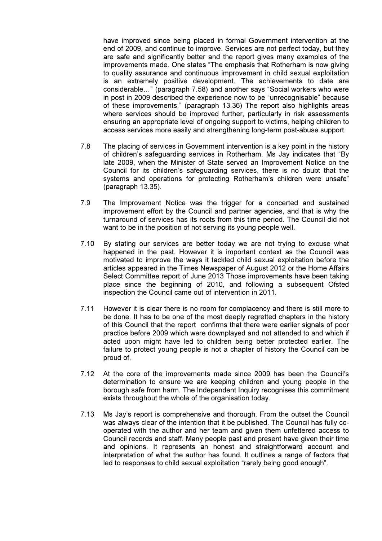have improved since being placed in formal Government intervention at the end of 2009, and continue to improve. Services are not perfect today, but they are safe and significantly better and the report gives many examples of the improvements made. One states "The emphasis that Rotherham is now giving to quality assurance and continuous improvement in child sexual exploitation is an extremely positive development. The achievements to date are considerable…" (paragraph 7.58) and another says "Social workers who were in post in 2009 described the experience now to be "unrecognisable" because of these improvements." (paragraph 13.36) The report also highlights areas where services should be improved further, particularly in risk assessments ensuring an appropriate level of ongoing support to victims, helping children to access services more easily and strengthening long-term post-abuse support.

- 7.8 The placing of services in Government intervention is a key point in the history of children's safeguarding services in Rotherham. Ms Jay indicates that "By late 2009, when the Minister of State served an Improvement Notice on the Council for its children's safeguarding services, there is no doubt that the systems and operations for protecting Rotherham's children were unsafe" (paragraph 13.35).
- 7.9 The Improvement Notice was the trigger for a concerted and sustained improvement effort by the Council and partner agencies, and that is why the turnaround of services has its roots from this time period. The Council did not want to be in the position of not serving its young people well.
- 7.10 By stating our services are better today we are not trying to excuse what happened in the past. However it is important context as the Council was motivated to improve the ways it tackled child sexual exploitation before the articles appeared in the Times Newspaper of August 2012 or the Home Affairs Select Committee report of June 2013 Those improvements have been taking place since the beginning of 2010, and following a subsequent Ofsted inspection the Council came out of intervention in 2011.
- 7.11 However it is clear there is no room for complacency and there is still more to be done. It has to be one of the most deeply regretted chapters in the history of this Council that the report confirms that there were earlier signals of poor practice before 2009 which were downplayed and not attended to and which if acted upon might have led to children being better protected earlier. The failure to protect young people is not a chapter of history the Council can be proud of.
- 7.12 At the core of the improvements made since 2009 has been the Council's determination to ensure we are keeping children and young people in the borough safe from harm. The Independent Inquiry recognises this commitment exists throughout the whole of the organisation today.
- 7.13 Ms Jay's report is comprehensive and thorough. From the outset the Council was always clear of the intention that it be published. The Council has fully cooperated with the author and her team and given them unfettered access to Council records and staff. Many people past and present have given their time and opinions. It represents an honest and straightforward account and interpretation of what the author has found. It outlines a range of factors that led to responses to child sexual exploitation "rarely being good enough".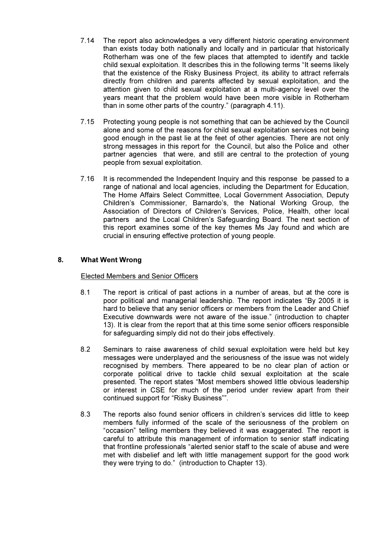- 7.14 The report also acknowledges a very different historic operating environment than exists today both nationally and locally and in particular that historically Rotherham was one of the few places that attempted to identify and tackle child sexual exploitation. It describes this in the following terms "It seems likely that the existence of the Risky Business Project, its ability to attract referrals directly from children and parents affected by sexual exploitation, and the attention given to child sexual exploitation at a multi-agency level over the years meant that the problem would have been more visible in Rotherham than in some other parts of the country." (paragraph 4.11).
- 7.15 Protecting young people is not something that can be achieved by the Council alone and some of the reasons for child sexual exploitation services not being good enough in the past lie at the feet of other agencies. There are not only strong messages in this report for the Council, but also the Police and other partner agencies that were, and still are central to the protection of young people from sexual exploitation.
- 7.16 It is recommended the Independent Inquiry and this response be passed to a range of national and local agencies, including the Department for Education, The Home Affairs Select Committee, Local Government Association, Deputy Children's Commissioner, Barnardo's, the National Working Group, the Association of Directors of Children's Services, Police, Health, other local partners and the Local Children's Safeguarding Board. The next section of this report examines some of the key themes Ms Jay found and which are crucial in ensuring effective protection of young people.

### 8. What Went Wrong

### Elected Members and Senior Officers

- 8.1 The report is critical of past actions in a number of areas, but at the core is poor political and managerial leadership. The report indicates "By 2005 it is hard to believe that any senior officers or members from the Leader and Chief Executive downwards were not aware of the issue." (introduction to chapter 13). It is clear from the report that at this time some senior officers responsible for safeguarding simply did not do their jobs effectively.
- 8.2 Seminars to raise awareness of child sexual exploitation were held but key messages were underplayed and the seriousness of the issue was not widely recognised by members. There appeared to be no clear plan of action or corporate political drive to tackle child sexual exploitation at the scale presented. The report states "Most members showed little obvious leadership or interest in CSE for much of the period under review apart from their continued support for "Risky Business"".
- 8.3 The reports also found senior officers in children's services did little to keep members fully informed of the scale of the seriousness of the problem on "occasion" telling members they believed it was exaggerated. The report is careful to attribute this management of information to senior staff indicating that frontline professionals "alerted senior staff to the scale of abuse and were met with disbelief and left with little management support for the good work they were trying to do." (introduction to Chapter 13).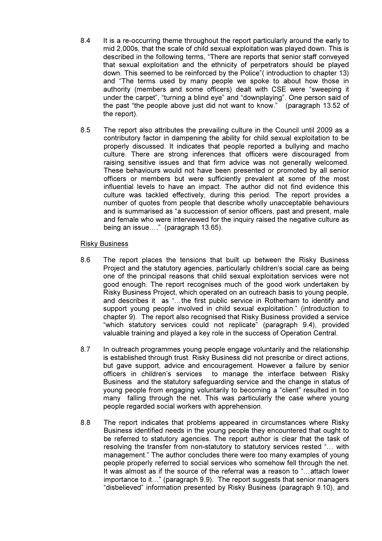- 8.4 It is a re-occurring theme throughout the report particularly around the early to mid 2,000s, that the scale of child sexual exploitation was played down. This is described in the following terms, "There are reports that senior staff conveyed that sexual exploitation and the ethnicity of perpetrators should be played down. This seemed to be reinforced by the Police"( introduction to chapter 13) and "The terms used by many people we spoke to about how those in authority (members and some officers) dealt with CSE were "sweeping it under the carpet", "turning a blind eye" and "downplaying". One person said of the past "the people above just did not want to know." (paragraph 13.52 of the report).
- 8.5 The report also attributes the prevailing culture in the Council until 2009 as a contributory factor in dampening the ability for child sexual exploitation to be properly discussed. It indicates that people reported a bullying and macho culture. There are strong inferences that officers were discouraged from raising sensitive issues and that firm advice was not generally welcomed. These behaviours would not have been presented or promoted by all senior officers or members but were sufficiently prevalent at some of the most influential levels to have an impact. The author did not find evidence this culture was tackled effectively, during this period. The report provides a number of quotes from people that describe wholly unacceptable behaviours and is summarised as "a succession of senior officers, past and present, male and female who were interviewed for the inquiry raised the negative culture as being an issue…." (paragraph 13.65).

#### Risky Business

- 8.6 The report places the tensions that built up between the Risky Business Project and the statutory agencies, particularly children's social care as being one of the principal reasons that child sexual exploitation services were not good enough. The report recognises much of the good work undertaken by Risky Business Project, which operated on an outreach basis to young people, and describes it as "…the first public service in Rotherham to identify and support young people involved in child sexual exploitation." (introduction to chapter 9). The report also recognised that Risky Business provided a service "which statutory services could not replicate" (paragraph 9.4), provided valuable training and played a key role in the success of Operation Central.
- 8.7 In outreach programmes young people engage voluntarily and the relationship is established through trust. Risky Business did not prescribe or direct actions, but gave support, advice and encouragement. However a failure by senior officers in children's services to manage the interface between Risky Business and the statutory safeguarding service and the change in status of young people from engaging voluntarily to becoming a "client" resulted in too many falling through the net. This was particularly the case where young people regarded social workers with apprehension.
- 8.8 The report indicates that problems appeared in circumstances where Risky Business identified needs in the young people they encountered that ought to be referred to statutory agencies. The report author is clear that the task of resolving the transfer from non-statutory to statutory services rested "… with management." The author concludes there were too many examples of young people properly referred to social services who somehow fell through the net. It was almost as if the source of the referral was a reason to "…attach lower importance to it…" (paragraph 9.9). The report suggests that senior managers "disbelieved" information presented by Risky Business (paragraph 9.10), and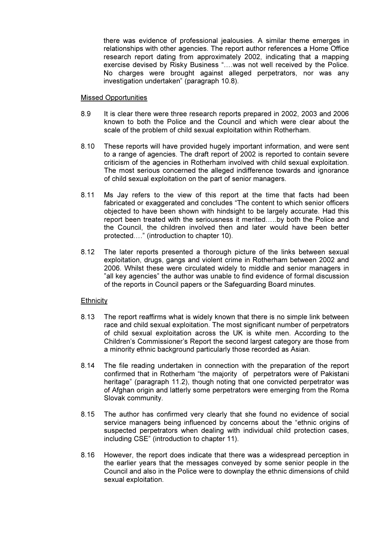there was evidence of professional jealousies. A similar theme emerges in relationships with other agencies. The report author references a Home Office research report dating from approximately 2002, indicating that a mapping exercise devised by Risky Business "….was not well received by the Police. No charges were brought against alleged perpetrators, nor was any investigation undertaken" (paragraph 10.8).

#### Missed Opportunities

- 8.9 It is clear there were three research reports prepared in 2002, 2003 and 2006 known to both the Police and the Council and which were clear about the scale of the problem of child sexual exploitation within Rotherham.
- 8.10 These reports will have provided hugely important information, and were sent to a range of agencies. The draft report of 2002 is reported to contain severe criticism of the agencies in Rotherham involved with child sexual exploitation. The most serious concerned the alleged indifference towards and ignorance of child sexual exploitation on the part of senior managers.
- 8.11 Ms Jay refers to the view of this report at the time that facts had been fabricated or exaggerated and concludes "The content to which senior officers objected to have been shown with hindsight to be largely accurate. Had this report been treated with the seriousness it merited…..by both the Police and the Council, the children involved then and later would have been better protected…." (introduction to chapter 10).
- 8.12 The later reports presented a thorough picture of the links between sexual exploitation, drugs, gangs and violent crime in Rotherham between 2002 and 2006. Whilst these were circulated widely to middle and senior managers in "all key agencies" the author was unable to find evidence of formal discussion of the reports in Council papers or the Safeguarding Board minutes.

### **Ethnicity**

- 8.13 The report reaffirms what is widely known that there is no simple link between race and child sexual exploitation. The most significant number of perpetrators of child sexual exploitation across the UK is white men. According to the Children's Commissioner's Report the second largest category are those from a minority ethnic background particularly those recorded as Asian.
- 8.14 The file reading undertaken in connection with the preparation of the report confirmed that in Rotherham "the majority of perpetrators were of Pakistani heritage" (paragraph 11.2), though noting that one convicted perpetrator was of Afghan origin and latterly some perpetrators were emerging from the Roma Slovak community.
- 8.15 The author has confirmed very clearly that she found no evidence of social service managers being influenced by concerns about the "ethnic origins of suspected perpetrators when dealing with individual child protection cases, including CSE" (introduction to chapter 11).
- 8.16 However, the report does indicate that there was a widespread perception in the earlier years that the messages conveyed by some senior people in the Council and also in the Police were to downplay the ethnic dimensions of child sexual exploitation.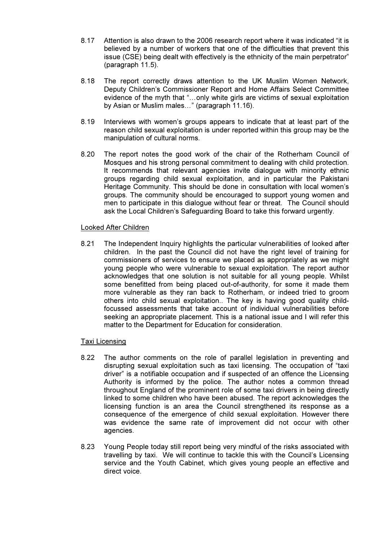- 8.17 Attention is also drawn to the 2006 research report where it was indicated "it is believed by a number of workers that one of the difficulties that prevent this issue (CSE) being dealt with effectively is the ethnicity of the main perpetrator" (paragraph 11.5).
- 8.18 The report correctly draws attention to the UK Muslim Women Network, Deputy Children's Commissioner Report and Home Affairs Select Committee evidence of the myth that "…only white girls are victims of sexual exploitation by Asian or Muslim males…" (paragraph 11.16).
- 8.19 Interviews with women's groups appears to indicate that at least part of the reason child sexual exploitation is under reported within this group may be the manipulation of cultural norms.
- 8.20 The report notes the good work of the chair of the Rotherham Council of Mosques and his strong personal commitment to dealing with child protection. It recommends that relevant agencies invite dialogue with minority ethnic groups regarding child sexual exploitation, and in particular the Pakistani Heritage Community. This should be done in consultation with local women's groups. The community should be encouraged to support young women and men to participate in this dialogue without fear or threat. The Council should ask the Local Children's Safeguarding Board to take this forward urgently.

#### Looked After Children

8.21 The Independent Inquiry highlights the particular vulnerabilities of looked after children. In the past the Council did not have the right level of training for commissioners of services to ensure we placed as appropriately as we might young people who were vulnerable to sexual exploitation. The report author acknowledges that one solution is not suitable for all young people. Whilst some benefitted from being placed out-of-authority, for some it made them more vulnerable as they ran back to Rotherham, or indeed tried to groom others into child sexual exploitation.. The key is having good quality childfocussed assessments that take account of individual vulnerabilities before seeking an appropriate placement. This is a national issue and I will refer this matter to the Department for Education for consideration.

### Taxi Licensing

- 8.22 The author comments on the role of parallel legislation in preventing and disrupting sexual exploitation such as taxi licensing. The occupation of "taxi driver" is a notifiable occupation and if suspected of an offence the Licensing Authority is informed by the police. The author notes a common thread throughout England of the prominent role of some taxi drivers in being directly linked to some children who have been abused. The report acknowledges the licensing function is an area the Council strengthened its response as a consequence of the emergence of child sexual exploitation. However there was evidence the same rate of improvement did not occur with other agencies.
- 8.23 Young People today still report being very mindful of the risks associated with travelling by taxi. We will continue to tackle this with the Council's Licensing service and the Youth Cabinet, which gives young people an effective and direct voice.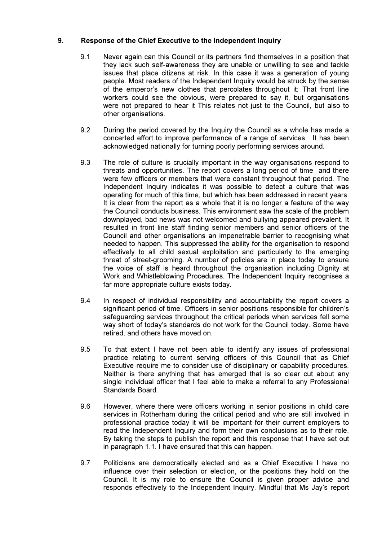### 9. Response of the Chief Executive to the Independent Inquiry

- 9.1 Never again can this Council or its partners find themselves in a position that they lack such self-awareness they are unable or unwilling to see and tackle issues that place citizens at risk. In this case it was a generation of young people. Most readers of the Independent Inquiry would be struck by the sense of the emperor's new clothes that percolates throughout it: That front line workers could see the obvious, were prepared to say it, but organisations were not prepared to hear it This relates not just to the Council, but also to other organisations.
- 9.2 During the period covered by the Inquiry the Council as a whole has made a concerted effort to improve performance of a range of services. It has been acknowledged nationally for turning poorly performing services around.
- 9.3 The role of culture is crucially important in the way organisations respond to threats and opportunities. The report covers a long period of time and there were few officers or members that were constant throughout that period. The Independent Inquiry indicates it was possible to detect a culture that was operating for much of this time, but which has been addressed in recent years. It is clear from the report as a whole that it is no longer a feature of the way the Council conducts business. This environment saw the scale of the problem downplayed, bad news was not welcomed and bullying appeared prevalent. It resulted in front line staff finding senior members and senior officers of the Council and other organisations an impenetrable barrier to recognising what needed to happen. This suppressed the ability for the organisation to respond effectively to all child sexual exploitation and particularly to the emerging threat of street-grooming. A number of policies are in place today to ensure the voice of staff is heard throughout the organisation including Dignity at Work and Whistleblowing Procedures. The Independent Inquiry recognises a far more appropriate culture exists today.
- 9.4 In respect of individual responsibility and accountability the report covers a significant period of time. Officers in senior positions responsible for children's safeguarding services throughout the critical periods when services fell some way short of today's standards do not work for the Council today. Some have retired, and others have moved on.
- 9.5 To that extent I have not been able to identify any issues of professional practice relating to current serving officers of this Council that as Chief Executive require me to consider use of disciplinary or capability procedures. Neither is there anything that has emerged that is so clear cut about any single individual officer that I feel able to make a referral to any Professional Standards Board.
- 9.6 However, where there were officers working in senior positions in child care services in Rotherham during the critical period and who are still involved in professional practice today it will be important for their current employers to read the Independent Inquiry and form their own conclusions as to their role. By taking the steps to publish the report and this response that I have set out in paragraph 1.1. I have ensured that this can happen.
- 9.7 Politicians are democratically elected and as a Chief Executive I have no influence over their selection or election, or the positions they hold on the Council. It is my role to ensure the Council is given proper advice and responds effectively to the Independent Inquiry. Mindful that Ms Jay's report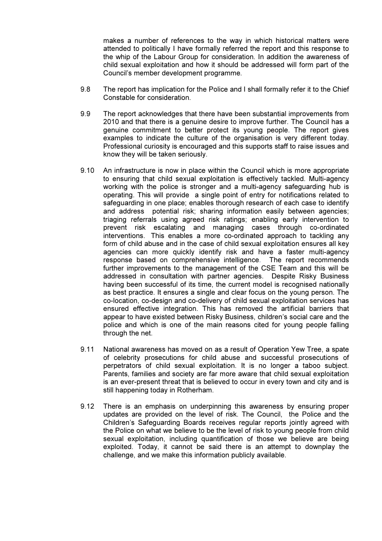makes a number of references to the way in which historical matters were attended to politically I have formally referred the report and this response to the whip of the Labour Group for consideration. In addition the awareness of child sexual exploitation and how it should be addressed will form part of the Council's member development programme.

- 9.8 The report has implication for the Police and I shall formally refer it to the Chief Constable for consideration.
- 9.9 The report acknowledges that there have been substantial improvements from 2010 and that there is a genuine desire to improve further. The Council has a genuine commitment to better protect its young people. The report gives examples to indicate the culture of the organisation is very different today. Professional curiosity is encouraged and this supports staff to raise issues and know they will be taken seriously.
- 9.10 An infrastructure is now in place within the Council which is more appropriate to ensuring that child sexual exploitation is effectively tackled. Multi-agency working with the police is stronger and a multi-agency safeguarding hub is operating. This will provide a single point of entry for notifications related to safeguarding in one place; enables thorough research of each case to identify and address potential risk; sharing information easily between agencies; triaging referrals using agreed risk ratings; enabling early intervention to prevent risk escalating and managing cases through co-ordinated interventions. This enables a more co-ordinated approach to tackling any form of child abuse and in the case of child sexual exploitation ensures all key agencies can more quickly identify risk and have a faster multi-agency response based on comprehensive intelligence. The report recommends further improvements to the management of the CSE Team and this will be addressed in consultation with partner agencies. Despite Risky Business having been successful of its time, the current model is recognised nationally as best practice. It ensures a single and clear focus on the young person. The co-location, co-design and co-delivery of child sexual exploitation services has ensured effective integration. This has removed the artificial barriers that appear to have existed between Risky Business, children's social care and the police and which is one of the main reasons cited for young people falling through the net.
- 9.11 National awareness has moved on as a result of Operation Yew Tree, a spate of celebrity prosecutions for child abuse and successful prosecutions of perpetrators of child sexual exploitation. It is no longer a taboo subject. Parents, families and society are far more aware that child sexual exploitation is an ever-present threat that is believed to occur in every town and city and is still happening today in Rotherham.
- 9.12 There is an emphasis on underpinning this awareness by ensuring proper updates are provided on the level of risk. The Council, the Police and the Children's Safeguarding Boards receives regular reports jointly agreed with the Police on what we believe to be the level of risk to young people from child sexual exploitation, including quantification of those we believe are being exploited. Today, it cannot be said there is an attempt to downplay the challenge, and we make this information publicly available.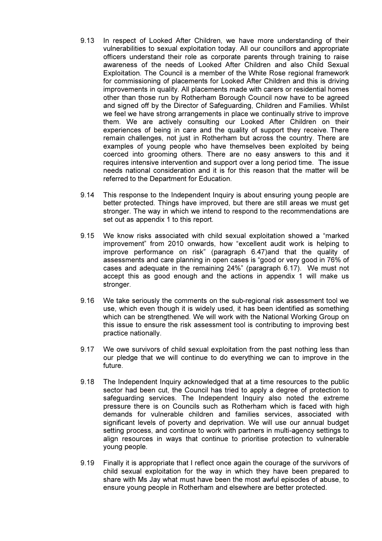- 9.13 In respect of Looked After Children, we have more understanding of their vulnerabilities to sexual exploitation today. All our councillors and appropriate officers understand their role as corporate parents through training to raise awareness of the needs of Looked After Children and also Child Sexual Exploitation. The Council is a member of the White Rose regional framework for commissioning of placements for Looked After Children and this is driving improvements in quality. All placements made with carers or residential homes other than those run by Rotherham Borough Council now have to be agreed and signed off by the Director of Safeguarding, Children and Families. Whilst we feel we have strong arrangements in place we continually strive to improve them. We are actively consulting our Looked After Children on their experiences of being in care and the quality of support they receive. There remain challenges, not just in Rotherham but across the country. There are examples of young people who have themselves been exploited by being coerced into grooming others. There are no easy answers to this and it requires intensive intervention and support over a long period time. The issue needs national consideration and it is for this reason that the matter will be referred to the Department for Education.
- 9.14 This response to the Independent Inquiry is about ensuring young people are better protected. Things have improved, but there are still areas we must get stronger. The way in which we intend to respond to the recommendations are set out as appendix 1 to this report.
- 9.15 We know risks associated with child sexual exploitation showed a "marked improvement" from 2010 onwards, how "excellent audit work is helping to improve performance on risk" (paragraph 6.47)and that the quality of assessments and care planning in open cases is "good or very good in 76% of cases and adequate in the remaining 24%" (paragraph 6.17). We must not accept this as good enough and the actions in appendix 1 will make us stronger.
- 9.16 We take seriously the comments on the sub-regional risk assessment tool we use, which even though it is widely used, it has been identified as something which can be strengthened. We will work with the National Working Group on this issue to ensure the risk assessment tool is contributing to improving best practice nationally.
- 9.17 We owe survivors of child sexual exploitation from the past nothing less than our pledge that we will continue to do everything we can to improve in the future.
- 9.18 The Independent Inquiry acknowledged that at a time resources to the public sector had been cut, the Council has tried to apply a degree of protection to safeguarding services. The Independent Inquiry also noted the extreme pressure there is on Councils such as Rotherham which is faced with high demands for vulnerable children and families services, associated with significant levels of poverty and deprivation. We will use our annual budget setting process, and continue to work with partners in multi-agency settings to align resources in ways that continue to prioritise protection to vulnerable young people.
- 9.19 Finally it is appropriate that I reflect once again the courage of the survivors of child sexual exploitation for the way in which they have been prepared to share with Ms Jay what must have been the most awful episodes of abuse, to ensure young people in Rotherham and elsewhere are better protected.